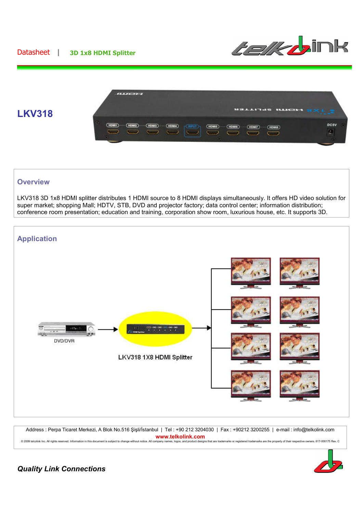### Datasheet **| 3D 1x8 HDMI Splitter**





#### **Overview**

LKV318 3D 1x8 HDMI splitter distributes 1 HDMI source to 8 HDMI displays simultaneously. It offers HD video solution for super market; shopping Mall; HDTV, STB, DVD and projector factory; data control center; information distribution; conference room presentation; education and training, corporation show room, luxurious house, etc. It supports 3D.



Address : Perpa Ticaret Merkezi, A Blok No.516 Şişli/İstanbul | Tel : +90 212 3204030 | Fax : +90212 3200255 | e-mail : info@telkolink.com **WWW.telkolink.com**<br>© 2009 telcolink Inc. All rights reserved. Information in this document is subject to change without notice. All company names, logos, and product designs that are trademarks or registered trademarks ar



## *Quality Link Connections*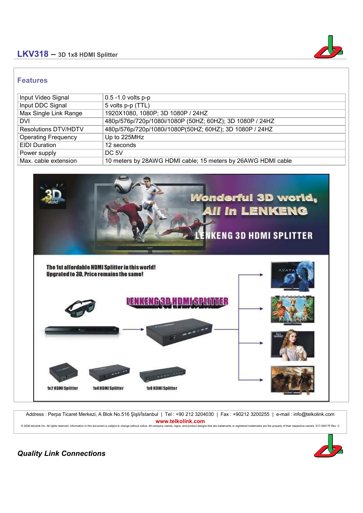# **LKV318 – 3D 1x8 HDMI Splitter**



#### **Features**

| Input Video Signal         | $0.5 - 1.0$ volts p-p                                        |
|----------------------------|--------------------------------------------------------------|
| Input DDC Signal           | 5 volts p-p (TTL)                                            |
| Max Single Link Range      | 1920X1080, 1080P; 3D 1080P / 24HZ                            |
| <b>DVI</b>                 | 480p/576p/720p/1080i/1080P (50HZ; 60HZ); 3D 1080P / 24HZ     |
| Resolutions DTV/HDTV       | 480p/576p/720p/1080i/1080P(50HZ; 60HZ); 3D 1080P / 24HZ      |
| <b>Operating Frequency</b> | Up to 225MHz                                                 |
| <b>EIDI</b> Duration       | 12 seconds                                                   |
| Power supply               | DC 5V                                                        |
| Max. cable extension       | 10 meters by 28AWG HDMI cable; 15 meters by 26AWG HDMI cable |



Address : Perpa Ticaret Merkezi, A Blok No.516 Şişli/İstanbul | Tel : +90 212 3204030 | Fax : +90212 3200255 | e-mail : info@telkolink.com **WWW.telkolink.com**<br>© 2009 telcolink Inc. All rights reserved. Information in this document is subject to change without notice. All company names, logos, and product designs that are trademarks or registered trademarks ar



*Quality Link Connections*